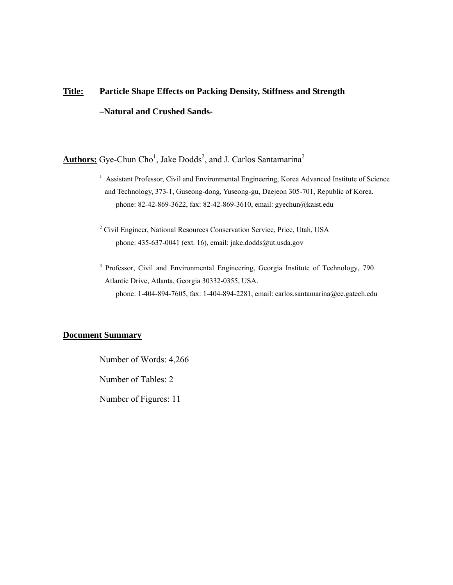# **Title: Particle Shape Effects on Packing Density, Stiffness and Strength –Natural and Crushed Sands-**

Authors: Gye-Chun Cho<sup>1</sup>, Jake Dodds<sup>2</sup>, and J. Carlos Santamarina<sup>2</sup>

- <sup>1</sup> Assistant Professor, Civil and Environmental Engineering, Korea Advanced Institute of Science and Technology, 373-1, Guseong-dong, Yuseong-gu, Daejeon 305-701, Republic of Korea. phone: 82-42-869-3622, fax: 82-42-869-3610, email: gyechun@kaist.edu
- <sup>2</sup> Civil Engineer, National Resources Conservation Service, Price, Utah, USA phone: 435-637-0041 (ext. 16), email: jake.dodds@ut.usda.gov
- <sup>3</sup> Professor, Civil and Environmental Engineering, Georgia Institute of Technology, 790 Atlantic Drive, Atlanta, Georgia 30332-0355, USA. phone: 1-404-894-7605, fax: 1-404-894-2281, email: carlos.santamarina@ce.gatech.edu

## **Document Summary**

Number of Words: 4,266

Number of Tables: 2

Number of Figures: 11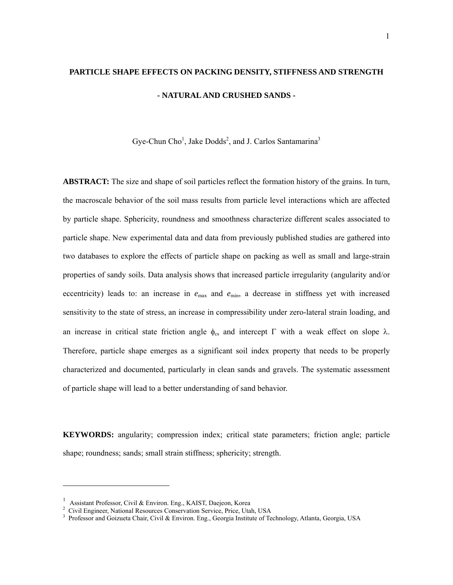## **PARTICLE SHAPE EFFECTS ON PACKING DENSITY, STIFFNESS AND STRENGTH - NATURAL AND CRUSHED SANDS -**

Gye-Chun Cho<sup>1</sup>, Jake Dodds<sup>2</sup>, and J. Carlos Santamarina<sup>3</sup>

**ABSTRACT:** The size and shape of soil particles reflect the formation history of the grains. In turn, the macroscale behavior of the soil mass results from particle level interactions which are affected by particle shape. Sphericity, roundness and smoothness characterize different scales associated to particle shape. New experimental data and data from previously published studies are gathered into two databases to explore the effects of particle shape on packing as well as small and large-strain properties of sandy soils. Data analysis shows that increased particle irregularity (angularity and/or eccentricity) leads to: an increase in  $e_{\text{max}}$  and  $e_{\text{min}}$ , a decrease in stiffness yet with increased sensitivity to the state of stress, an increase in compressibility under zero-lateral strain loading, and an increase in critical state friction angle  $φ_{cs}$  and intercept Γ with a weak effect on slope λ. Therefore, particle shape emerges as a significant soil index property that needs to be properly characterized and documented, particularly in clean sands and gravels. The systematic assessment of particle shape will lead to a better understanding of sand behavior.

**KEYWORDS:** angularity; compression index; critical state parameters; friction angle; particle shape; roundness; sands; small strain stiffness; sphericity; strength.

1

<span id="page-1-0"></span>

<span id="page-1-2"></span><span id="page-1-1"></span>

<sup>&</sup>lt;sup>1</sup> Assistant Professor, Civil & Environ. Eng., KAIST, Daejeon, Korea<br><sup>2</sup> Civil Engineer, National Resources Conservation Service, Price, Utah, USA<br><sup>3</sup> Professor and Goizueta Chair, Civil & Environ. Eng., Georgia Institut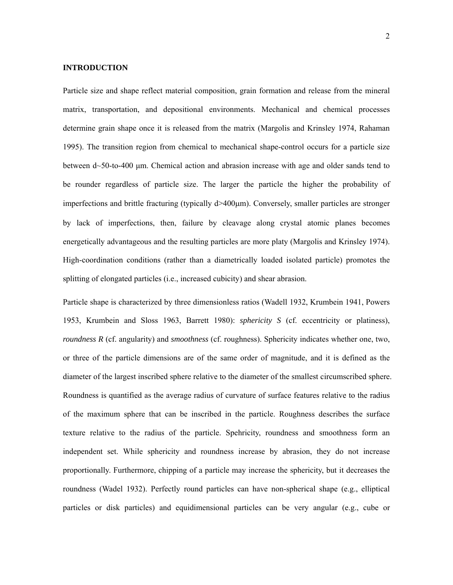#### **INTRODUCTION**

Particle size and shape reflect material composition, grain formation and release from the mineral matrix, transportation, and depositional environments. Mechanical and chemical processes determine grain shape once it is released from the matrix (Margolis and Krinsley 1974, Rahaman 1995). The transition region from chemical to mechanical shape-control occurs for a particle size between d~50-to-400 µm. Chemical action and abrasion increase with age and older sands tend to be rounder regardless of particle size. The larger the particle the higher the probability of imperfections and brittle fracturing (typically d>400µm). Conversely, smaller particles are stronger by lack of imperfections, then, failure by cleavage along crystal atomic planes becomes energetically advantageous and the resulting particles are more platy (Margolis and Krinsley 1974). High-coordination conditions (rather than a diametrically loaded isolated particle) promotes the splitting of elongated particles (i.e., increased cubicity) and shear abrasion.

Particle shape is characterized by three dimensionless ratios (Wadell 1932, Krumbein 1941, Powers 1953, Krumbein and Sloss 1963, Barrett 1980): *sphericity S* (cf. eccentricity or platiness), *roundness R* (cf. angularity) and *smoothness* (cf. roughness). Sphericity indicates whether one, two, or three of the particle dimensions are of the same order of magnitude, and it is defined as the diameter of the largest inscribed sphere relative to the diameter of the smallest circumscribed sphere. Roundness is quantified as the average radius of curvature of surface features relative to the radius of the maximum sphere that can be inscribed in the particle. Roughness describes the surface texture relative to the radius of the particle. Spehricity, roundness and smoothness form an independent set. While sphericity and roundness increase by abrasion, they do not increase proportionally. Furthermore, chipping of a particle may increase the sphericity, but it decreases the roundness (Wadel 1932). Perfectly round particles can have non-spherical shape (e.g., elliptical particles or disk particles) and equidimensional particles can be very angular (e.g., cube or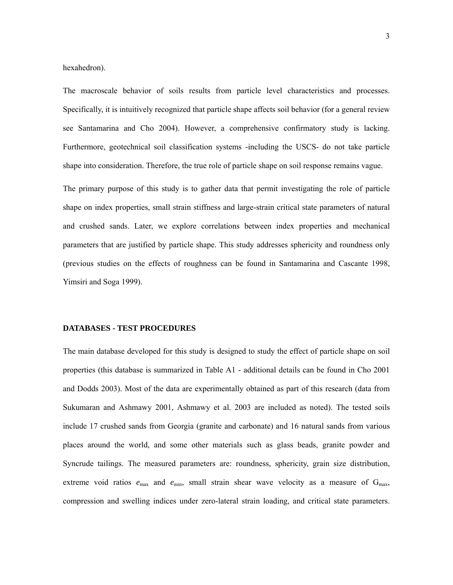hexahedron).

The macroscale behavior of soils results from particle level characteristics and processes. Specifically, it is intuitively recognized that particle shape affects soil behavior (for a general review see Santamarina and Cho 2004). However, a comprehensive confirmatory study is lacking. Furthermore, geotechnical soil classification systems -including the USCS- do not take particle shape into consideration. Therefore, the true role of particle shape on soil response remains vague.

The primary purpose of this study is to gather data that permit investigating the role of particle shape on index properties, small strain stiffness and large-strain critical state parameters of natural and crushed sands. Later, we explore correlations between index properties and mechanical parameters that are justified by particle shape. This study addresses sphericity and roundness only (previous studies on the effects of roughness can be found in Santamarina and Cascante 1998, Yimsiri and Soga 1999).

#### **DATABASES - TEST PROCEDURES**

The main database developed for this study is designed to study the effect of particle shape on soil properties (this database is summarized in Table A1 - additional details can be found in Cho 2001 and Dodds 2003). Most of the data are experimentally obtained as part of this research (data from Sukumaran and Ashmawy 2001, Ashmawy et al. 2003 are included as noted). The tested soils include 17 crushed sands from Georgia (granite and carbonate) and 16 natural sands from various places around the world, and some other materials such as glass beads, granite powder and Syncrude tailings. The measured parameters are: roundness, sphericity, grain size distribution, extreme void ratios  $e_{\text{max}}$  and  $e_{\text{min}}$ , small strain shear wave velocity as a measure of  $G_{\text{max}}$ , compression and swelling indices under zero-lateral strain loading, and critical state parameters.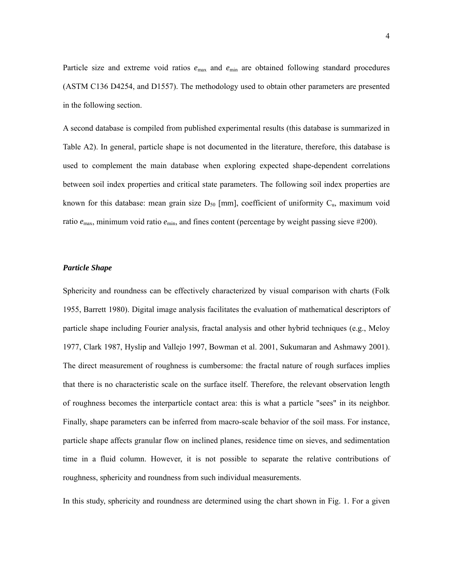Particle size and extreme void ratios  $e_{\text{max}}$  and  $e_{\text{min}}$  are obtained following standard procedures (ASTM C136 D4254, and D1557). The methodology used to obtain other parameters are presented in the following section.

A second database is compiled from published experimental results (this database is summarized in Table A2). In general, particle shape is not documented in the literature, therefore, this database is used to complement the main database when exploring expected shape-dependent correlations between soil index properties and critical state parameters. The following soil index properties are known for this database: mean grain size  $D_{50}$  [mm], coefficient of uniformity  $C_{u}$ , maximum void ratio  $e_{\text{max}}$ , minimum void ratio  $e_{\text{min}}$ , and fines content (percentage by weight passing sieve #200).

#### *Particle Shape*

Sphericity and roundness can be effectively characterized by visual comparison with charts (Folk 1955, Barrett 1980). Digital image analysis facilitates the evaluation of mathematical descriptors of particle shape including Fourier analysis, fractal analysis and other hybrid techniques (e.g., Meloy 1977, Clark 1987, Hyslip and Vallejo 1997, Bowman et al. 2001, Sukumaran and Ashmawy 2001). The direct measurement of roughness is cumbersome: the fractal nature of rough surfaces implies that there is no characteristic scale on the surface itself. Therefore, the relevant observation length of roughness becomes the interparticle contact area: this is what a particle "sees" in its neighbor. Finally, shape parameters can be inferred from macro-scale behavior of the soil mass. For instance, particle shape affects granular flow on inclined planes, residence time on sieves, and sedimentation time in a fluid column. However, it is not possible to separate the relative contributions of roughness, sphericity and roundness from such individual measurements.

In this study, sphericity and roundness are determined using the chart shown in Fig. 1. For a given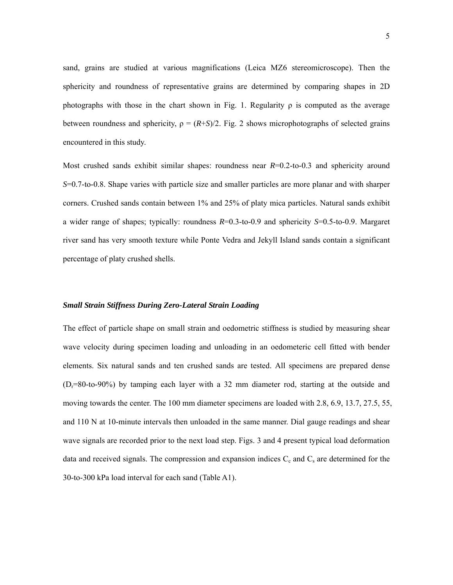sand, grains are studied at various magnifications (Leica MZ6 stereomicroscope). Then the sphericity and roundness of representative grains are determined by comparing shapes in 2D photographs with those in the chart shown in Fig. 1. Regularity  $\rho$  is computed as the average between roundness and sphericity,  $\rho = (R+S)/2$ . Fig. 2 shows microphotographs of selected grains encountered in this study.

Most crushed sands exhibit similar shapes: roundness near  $R=0.2$ -to-0.3 and sphericity around *S*=0.7-to-0.8. Shape varies with particle size and smaller particles are more planar and with sharper corners. Crushed sands contain between 1% and 25% of platy mica particles. Natural sands exhibit a wider range of shapes; typically: roundness *R*=0.3-to-0.9 and sphericity *S*=0.5-to-0.9. Margaret river sand has very smooth texture while Ponte Vedra and Jekyll Island sands contain a significant percentage of platy crushed shells.

#### *Small Strain Stiffness During Zero-Lateral Strain Loading*

The effect of particle shape on small strain and oedometric stiffness is studied by measuring shear wave velocity during specimen loading and unloading in an oedometeric cell fitted with bender elements. Six natural sands and ten crushed sands are tested. All specimens are prepared dense  $(D<sub>r</sub>=80$ -to-90%) by tamping each layer with a 32 mm diameter rod, starting at the outside and moving towards the center. The 100 mm diameter specimens are loaded with 2.8, 6.9, 13.7, 27.5, 55, and 110 N at 10-minute intervals then unloaded in the same manner. Dial gauge readings and shear wave signals are recorded prior to the next load step. Figs. 3 and 4 present typical load deformation data and received signals. The compression and expansion indices  $C_c$  and  $C_s$  are determined for the 30-to-300 kPa load interval for each sand (Table A1).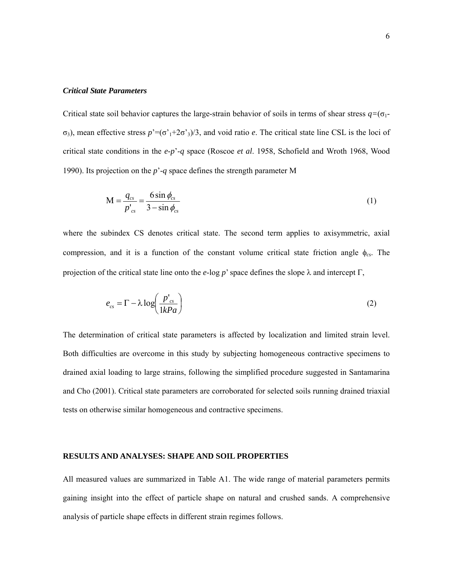#### *Critical State Parameters*

Critical state soil behavior captures the large-strain behavior of soils in terms of shear stress *q=*(σ1 σ3), mean effective stress *p*'=(σ'1+2σ'3)/3, and void ratio *e*. The critical state line CSL is the loci of critical state conditions in the *e*-*p*'-*q* space (Roscoe *et al*. 1958, Schofield and Wroth 1968, Wood 1990). Its projection on the *p*'-*q* space defines the strength parameter Μ

$$
M = \frac{q_{cs}}{p'_{cs}} = \frac{6 \sin \phi_{cs}}{3 - \sin \phi_{cs}}
$$
(1)

where the subindex CS denotes critical state. The second term applies to axisymmetric, axial compression, and it is a function of the constant volume critical state friction angle φ*cs*. The projection of the critical state line onto the *e*-log *p*' space defines the slope  $\lambda$  and intercept Γ,

$$
e_{cs} = \Gamma - \lambda \log \left( \frac{p'_{cs}}{1kPa} \right) \tag{2}
$$

The determination of critical state parameters is affected by localization and limited strain level. Both difficulties are overcome in this study by subjecting homogeneous contractive specimens to drained axial loading to large strains, following the simplified procedure suggested in Santamarina and Cho (2001). Critical state parameters are corroborated for selected soils running drained triaxial tests on otherwise similar homogeneous and contractive specimens.

#### **RESULTS AND ANALYSES: SHAPE AND SOIL PROPERTIES**

All measured values are summarized in Table A1. The wide range of material parameters permits gaining insight into the effect of particle shape on natural and crushed sands. A comprehensive analysis of particle shape effects in different strain regimes follows.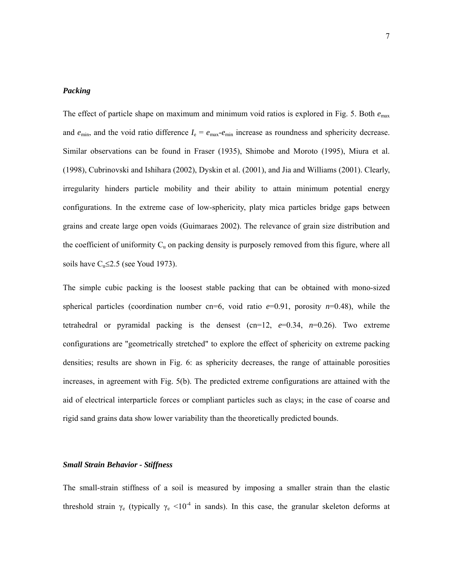#### *Packing*

The effect of particle shape on maximum and minimum void ratios is explored in Fig. 5. Both *e*max and  $e_{\text{min}}$ , and the void ratio difference  $I_e = e_{\text{max}} - e_{\text{min}}$  increase as roundness and sphericity decrease. Similar observations can be found in Fraser (1935), Shimobe and Moroto (1995), Miura et al. (1998), Cubrinovski and Ishihara (2002), Dyskin et al. (2001), and Jia and Williams (2001). Clearly, irregularity hinders particle mobility and their ability to attain minimum potential energy configurations. In the extreme case of low-sphericity, platy mica particles bridge gaps between grains and create large open voids (Guimaraes 2002). The relevance of grain size distribution and the coefficient of uniformity  $C_{\text{u}}$  on packing density is purposely removed from this figure, where all soils have  $C_u \leq 2.5$  (see Youd 1973).

The simple cubic packing is the loosest stable packing that can be obtained with mono-sized spherical particles (coordination number cn=6, void ratio  $e=0.91$ , porosity  $n=0.48$ ), while the tetrahedral or pyramidal packing is the densest  $(\text{cn}=12, e=0.34, n=0.26)$ . Two extreme configurations are "geometrically stretched" to explore the effect of sphericity on extreme packing densities; results are shown in Fig. 6: as sphericity decreases, the range of attainable porosities increases, in agreement with Fig. 5(b). The predicted extreme configurations are attained with the aid of electrical interparticle forces or compliant particles such as clays; in the case of coarse and rigid sand grains data show lower variability than the theoretically predicted bounds.

#### *Small Strain Behavior - Stiffness*

The small-strain stiffness of a soil is measured by imposing a smaller strain than the elastic threshold strain  $\gamma_e$  (typically  $\gamma_e$  <10<sup>-4</sup> in sands). In this case, the granular skeleton deforms at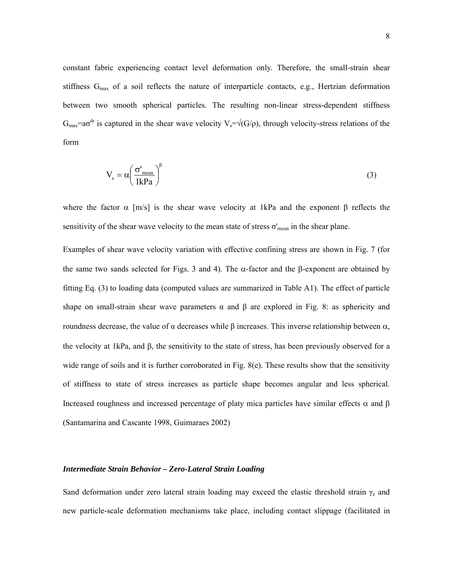constant fabric experiencing contact level deformation only. Therefore, the small-strain shear stiffness G<sub>max</sub> of a soil reflects the nature of interparticle contacts, e.g., Hertzian deformation between two smooth spherical particles. The resulting non-linear stress-dependent stiffness  $G_{\text{max}} = a\sigma^{b}$  is captured in the shear wave velocity  $V_s = \sqrt{(G/\rho)}$ , through velocity-stress relations of the form

$$
V_s = \alpha \left(\frac{\sigma'_{\text{mean}}}{1 \text{kPa}}\right)^{\beta} \tag{3}
$$

where the factor  $\alpha$  [m/s] is the shear wave velocity at 1kPa and the exponent  $\beta$  reflects the sensitivity of the shear wave velocity to the mean state of stress  $\sigma'$ <sub>mean</sub> in the shear plane.

Examples of shear wave velocity variation with effective confining stress are shown in Fig. 7 (for the same two sands selected for Figs. 3 and 4). The  $\alpha$ -factor and the β-exponent are obtained by fitting Eq. (3) to loading data (computed values are summarized in Table A1). The effect of particle shape on small-strain shear wave parameters  $\alpha$  and  $\beta$  are explored in Fig. 8: as sphericity and roundness decrease, the value of α decreases while β increases. This inverse relationship between α, the velocity at 1kPa, and β, the sensitivity to the state of stress, has been previously observed for a wide range of soils and it is further corroborated in Fig. 8(e). These results show that the sensitivity of stiffness to state of stress increases as particle shape becomes angular and less spherical. Increased roughness and increased percentage of platy mica particles have similar effects  $\alpha$  and  $\beta$ (Santamarina and Cascante 1998, Guimaraes 2002)

#### *Intermediate Strain Behavior – Zero-Lateral Strain Loading*

Sand deformation under zero lateral strain loading may exceed the elastic threshold strain  $\gamma_e$  and new particle-scale deformation mechanisms take place, including contact slippage (facilitated in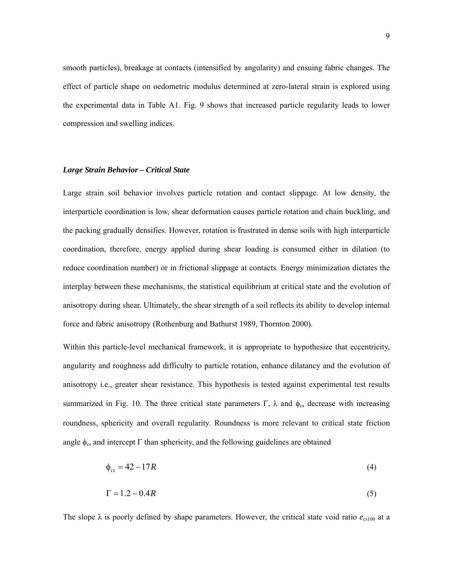smooth particles), breakage at contacts (intensified by angularity) and ensuing fabric changes. The effect of particle shape on oedometric modulus determined at zero-lateral strain is explored using the experimental data in Table A1. Fig. 9 shows that increased particle regularity leads to lower compression and swelling indices.

#### *Large Strain Behavior – Critical State*

Large strain soil behavior involves particle rotation and contact slippage. At low density, the interparticle coordination is low, shear deformation causes particle rotation and chain buckling, and the packing gradually densifies. However, rotation is frustrated in dense soils with high interparticle coordination, therefore, energy applied during shear loading is consumed either in dilation (to reduce coordination number) or in frictional slippage at contacts. Energy minimization dictates the interplay between these mechanisms, the statistical equilibrium at critical state and the evolution of anisotropy during shear. Ultimately, the shear strength of a soil reflects its ability to develop internal force and fabric anisotropy (Rothenburg and Bathurst 1989, Thornton 2000).

Within this particle-level mechanical framework, it is appropriate to hypothesize that eccentricity, angularity and roughness add difficulty to particle rotation, enhance dilatancy and the evolution of anisotropy i.e., greater shear resistance. This hypothesis is tested against experimental test results summarized in Fig. 10. The three critical state parameters Γ, λ and  $φ_{cs}$  decrease with increasing roundness, sphericity and overall regularity. Roundness is more relevant to critical state friction angle  $\phi_{cs}$  and intercept  $\Gamma$  than sphericity, and the following guidelines are obtained

$$
\phi_{cs} = 42 - 17R\tag{4}
$$

$$
\Gamma = 1.2 - 0.4R\tag{5}
$$

The slope  $\lambda$  is poorly defined by shape parameters. However, the critical state void ratio  $e_{cs100}$  at a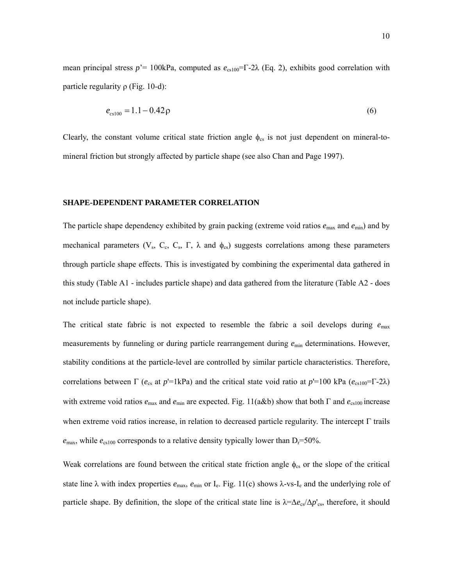mean principal stress  $p = 100kPa$ , computed as  $e_{cs100} = \Gamma - 2\lambda$  (Eq. 2), exhibits good correlation with particle regularity  $ρ$  (Fig. 10-d):

$$
e_{cs100} = 1.1 - 0.42 \,\mathrm{p} \tag{6}
$$

Clearly, the constant volume critical state friction angle  $\phi_{\rm cs}$  is not just dependent on mineral-tomineral friction but strongly affected by particle shape (see also Chan and Page 1997).

#### **SHAPE-DEPENDENT PARAMETER CORRELATION**

The particle shape dependency exhibited by grain packing (extreme void ratios *e*max and *e*min) and by mechanical parameters ( $V_s$ ,  $C_s$ ,  $C_s$ ,  $\Gamma$ ,  $\lambda$  and  $\phi_{cs}$ ) suggests correlations among these parameters through particle shape effects. This is investigated by combining the experimental data gathered in this study (Table A1 - includes particle shape) and data gathered from the literature (Table A2 - does not include particle shape).

The critical state fabric is not expected to resemble the fabric a soil develops during *e*max measurements by funneling or during particle rearrangement during  $e_{min}$  determinations. However, stability conditions at the particle-level are controlled by similar particle characteristics. Therefore, correlations between Γ ( $e_{cs}$  at  $p'=1$ kPa) and the critical state void ratio at  $p'=100$  kPa ( $e_{cs100}=$ Γ-2λ) with extreme void ratios  $e_{\text{max}}$  and  $e_{\text{min}}$  are expected. Fig. 11(a&b) show that both Γ and  $e_{\text{cs100}}$  increase when extreme void ratios increase, in relation to decreased particle regularity. The intercept Γ trails  $e_{\text{max}}$ , while  $e_{\text{cs100}}$  corresponds to a relative density typically lower than  $D_r = 50\%$ .

Weak correlations are found between the critical state friction angle  $\phi_{cs}$  or the slope of the critical state line  $\lambda$  with index properties  $e_{\text{max}}$ ,  $e_{\text{min}}$  or I<sub>e</sub>. Fig. 11(c) shows  $\lambda$ -vs-I<sub>e</sub> and the underlying role of particle shape. By definition, the slope of the critical state line is λ=∆*e*cs/∆*p*'cs, therefore, it should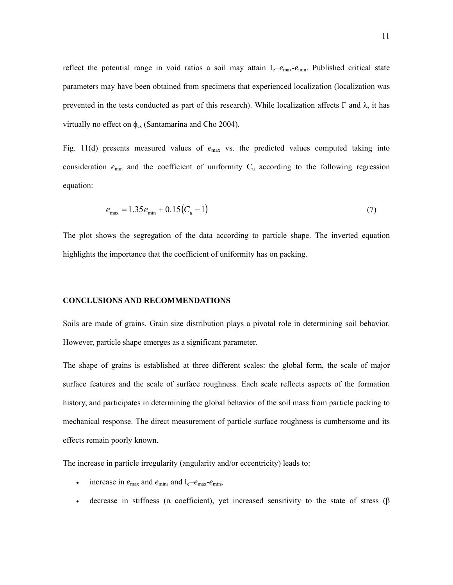reflect the potential range in void ratios a soil may attain  $I_e = e_{max} - e_{min}$ . Published critical state parameters may have been obtained from specimens that experienced localization (localization was prevented in the tests conducted as part of this research). While localization affects Γ and λ, it has virtually no effect on  $\phi_{\rm cs}$  (Santamarina and Cho 2004).

Fig. 11(d) presents measured values of  $e_{\text{max}}$  vs. the predicted values computed taking into consideration  $e_{\min}$  and the coefficient of uniformity  $C_u$  according to the following regression equation:

$$
e_{\text{max}} = 1.35 e_{\text{min}} + 0.15 (C_u - 1) \tag{7}
$$

The plot shows the segregation of the data according to particle shape. The inverted equation highlights the importance that the coefficient of uniformity has on packing.

#### **CONCLUSIONS AND RECOMMENDATIONS**

Soils are made of grains. Grain size distribution plays a pivotal role in determining soil behavior. However, particle shape emerges as a significant parameter.

The shape of grains is established at three different scales: the global form, the scale of major surface features and the scale of surface roughness. Each scale reflects aspects of the formation history, and participates in determining the global behavior of the soil mass from particle packing to mechanical response. The direct measurement of particle surface roughness is cumbersome and its effects remain poorly known.

The increase in particle irregularity (angularity and/or eccentricity) leads to:

- increase in  $e_{\text{max}}$  and  $e_{\text{min}}$ , and  $I_e = e_{\text{max}} e_{\text{min}}$ ,
- decrease in stiffness (α coefficient), yet increased sensitivity to the state of stress (β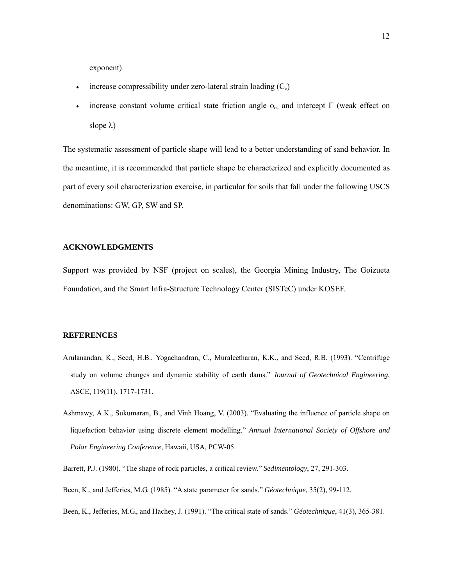exponent)

- increase compressibility under zero-lateral strain loading  $(C_c)$
- increase constant volume critical state friction angle  $φ_{cs}$  and intercept Γ (weak effect on slope λ)

The systematic assessment of particle shape will lead to a better understanding of sand behavior. In the meantime, it is recommended that particle shape be characterized and explicitly documented as part of every soil characterization exercise, in particular for soils that fall under the following USCS denominations: GW, GP, SW and SP.

#### **ACKNOWLEDGMENTS**

Support was provided by NSF (project on scales), the Georgia Mining Industry, The Goizueta Foundation, and the Smart Infra-Structure Technology Center (SISTeC) under KOSEF.

#### **REFERENCES**

- Arulanandan, K., Seed, H.B., Yogachandran, C., Muraleetharan, K.K., and Seed, R.B. (1993). "Centrifuge study on volume changes and dynamic stability of earth dams." *Journal of Geotechnical Engineering*, ASCE, 119(11), 1717-1731.
- Ashmawy, A.K., Sukumaran, B., and Vinh Hoang, V. (2003). "Evaluating the influence of particle shape on liquefaction behavior using discrete element modelling." *Annual International Society of Offshore and Polar Engineering Conference*, Hawaii, USA, PCW-05.

Barrett, P.J. (1980). "The shape of rock particles, a critical review." *Sedimentology*, 27, 291-303.

Been, K., and Jefferies, M.G. (1985). "A state parameter for sands." *Géotechnique*, 35(2), 99-112.

Been, K., Jefferies, M.G., and Hachey, J. (1991). "The critical state of sands." *Géotechnique*, 41(3), 365-381.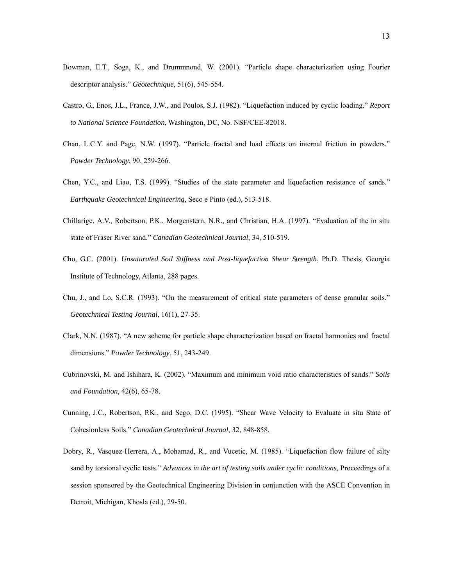- Bowman, E.T., Soga, K., and Drummnond, W. (2001). "Particle shape characterization using Fourier descriptor analysis." *Géotechnique*, 51(6), 545-554.
- Castro, G., Enos, J.L., France, J.W., and Poulos, S.J. (1982). "Liquefaction induced by cyclic loading." *Report to National Science Foundation*, Washington, DC, No. NSF/CEE-82018.
- Chan, L.C.Y. and Page, N.W. (1997). "Particle fractal and load effects on internal friction in powders." *Powder Technology*, 90, 259-266.
- Chen, Y.C., and Liao, T.S. (1999). "Studies of the state parameter and liquefaction resistance of sands." *Earthquake Geotechnical Engineering*, Seco e Pinto (ed.), 513-518.
- Chillarige, A.V., Robertson, P.K., Morgenstern, N.R., and Christian, H.A. (1997). "Evaluation of the in situ state of Fraser River sand." *Canadian Geotechnical Journal*, 34, 510-519.
- Cho, G.C. (2001). *Unsaturated Soil Stiffness and Post-liquefaction Shear Strength*, Ph.D. Thesis, Georgia Institute of Technology, Atlanta, 288 pages.
- Chu, J., and Lo, S.C.R. (1993). "On the measurement of critical state parameters of dense granular soils." *Geotechnical Testing Journal*, 16(1), 27-35.
- Clark, N.N. (1987). "A new scheme for particle shape characterization based on fractal harmonics and fractal dimensions." *Powder Technology*, 51, 243-249.
- Cubrinovski, M. and Ishihara, K. (2002). "Maximum and minimum void ratio characteristics of sands." *Soils and Foundation*, 42(6), 65-78.
- Cunning, J.C., Robertson, P.K., and Sego, D.C. (1995). "Shear Wave Velocity to Evaluate in situ State of Cohesionless Soils." *Canadian Geotechnical Journal*, 32, 848-858.
- Dobry, R., Vasquez-Herrera, A., Mohamad, R., and Vucetic, M. (1985). "Liquefaction flow failure of silty sand by torsional cyclic tests." *Advances in the art of testing soils under cyclic conditions*, Proceedings of a session sponsored by the Geotechnical Engineering Division in conjunction with the ASCE Convention in Detroit, Michigan, Khosla (ed.), 29-50.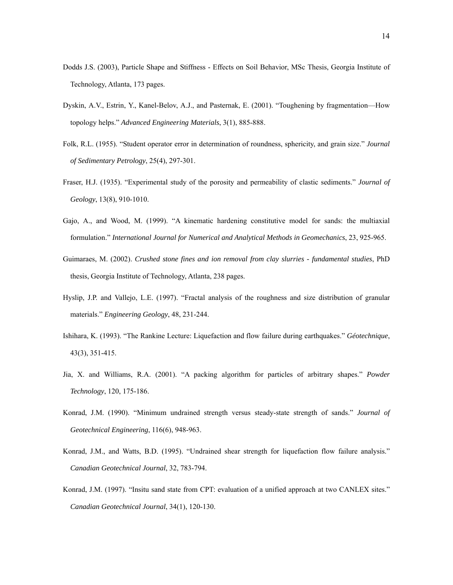- Dodds J.S. (2003), Particle Shape and Stiffness Effects on Soil Behavior, MSc Thesis, Georgia Institute of Technology, Atlanta, 173 pages.
- Dyskin, A.V., Estrin, Y., Kanel-Belov, A.J., and Pasternak, E. (2001). "Toughening by fragmentation—How topology helps." *Advanced Engineering Materials*, 3(1), 885-888.
- Folk, R.L. (1955). "Student operator error in determination of roundness, sphericity, and grain size." *Journal of Sedimentary Petrology*, 25(4), 297-301.
- Fraser, H.J. (1935). "Experimental study of the porosity and permeability of clastic sediments." *Journal of Geology*, 13(8), 910-1010.
- Gajo, A., and Wood, M. (1999). "A kinematic hardening constitutive model for sands: the multiaxial formulation." *International Journal for Numerical and Analytical Methods in Geomechanics*, 23, 925-965.
- Guimaraes, M. (2002). *Crushed stone fines and ion removal from clay slurries fundamental studies*, PhD thesis, Georgia Institute of Technology, Atlanta, 238 pages.
- Hyslip, J.P. and Vallejo, L.E. (1997). "Fractal analysis of the roughness and size distribution of granular materials." *Engineering Geology*, 48, 231-244.
- Ishihara, K. (1993). "The Rankine Lecture: Liquefaction and flow failure during earthquakes." *Géotechnique*, 43(3), 351-415.
- Jia, X. and Williams, R.A. (2001). "A packing algorithm for particles of arbitrary shapes." *Powder Technology*, 120, 175-186.
- Konrad, J.M. (1990). "Minimum undrained strength versus steady-state strength of sands." *Journal of Geotechnical Engineering*, 116(6), 948-963.
- Konrad, J.M., and Watts, B.D. (1995). "Undrained shear strength for liquefaction flow failure analysis." *Canadian Geotechnical Journal*, 32, 783-794.
- Konrad, J.M. (1997). "Insitu sand state from CPT: evaluation of a unified approach at two CANLEX sites." *Canadian Geotechnical Journal*, 34(1), 120-130.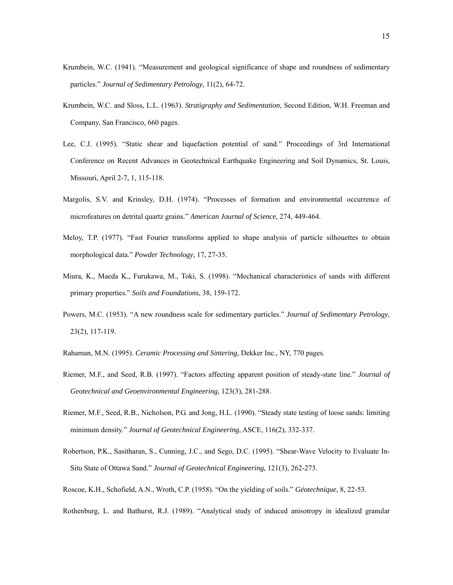- Krumbein, W.C. (1941). "Measurement and geological significance of shape and roundness of sedimentary particles." *Journal of Sedimentary Petrology*, 11(2), 64-72.
- Krumbein, W.C. and Sloss, L.L. (1963). *Stratigraphy and Sedimentation*, Second Edition, W.H. Freeman and Company, San Francisco, 660 pages.
- Lee, C.J. (1995). "Static shear and liquefaction potential of sand." Proceedings of 3rd International Conference on Recent Advances in Geotechnical Earthquake Engineering and Soil Dynamics, St. Louis, Missouri, April 2-7, 1, 115-118.
- Margolis, S.V. and Krinsley, D.H. (1974). "Processes of formation and environmental occurrence of microfeatures on detrital quartz grains." *American Journal of Science*, 274, 449-464.
- Meloy, T.P. (1977). "Fast Fourier transforms applied to shape analysis of particle silhouettes to obtain morphological data." *Powder Technology*, 17, 27-35.
- Miura, K., Maeda K., Furukawa, M., Toki, S. (1998). "Mechanical characteristics of sands with different primary properties." *Soils and Foundations*, 38, 159-172.
- Powers, M.C. (1953). "A new roundness scale for sedimentary particles." *Journal of Sedimentary Petrology*, 23(2), 117-119.
- Rahaman, M.N. (1995). *Ceramic Processing and Sintering*, Dekker Inc., NY, 770 pages.
- Riemer, M.F., and Seed, R.B. (1997). "Factors affecting apparent position of steady-state line." *Journal of Geotechnical and Geoenvironmental Engineering*, 123(3), 281-288.
- Riemer, M.F., Seed, R.B., Nicholson, P.G. and Jong, H.L. (1990). "Steady state testing of loose sands: limiting minimum density." *Journal of Geotechnical Engineering*, ASCE, 116(2), 332-337.
- Robertson, P.K., Sasitharan, S., Cunning, J.C., and Sego, D.C. (1995). "Shear-Wave Velocity to Evaluate In-Situ State of Ottawa Sand." *Journal of Geotechnical Engineering*, 121(3), 262-273.
- Roscoe, K.H., Schofield, A.N., Wroth, C.P. (1958). "On the yielding of soils." *Géotechnique*, 8, 22-53.
- Rothenburg, L. and Bathurst, R.J. (1989). "Analytical study of induced anisotropy in idealized granular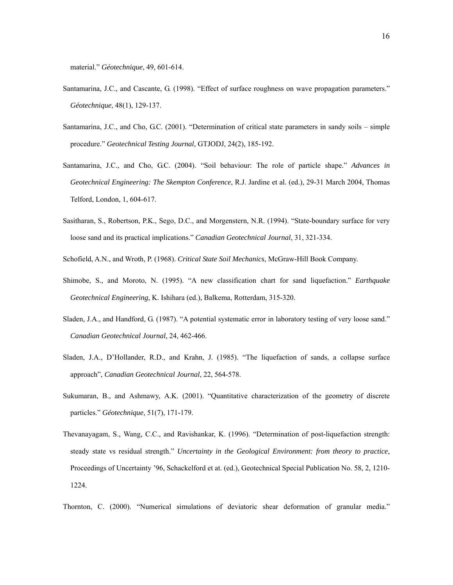material." *Géotechnique*, 49, 601-614.

- Santamarina, J.C., and Cascante, G. (1998). "Effect of surface roughness on wave propagation parameters." *Géotechnique*, 48(1), 129-137.
- Santamarina, J.C., and Cho, G.C. (2001). "Determination of critical state parameters in sandy soils simple procedure." *Geotechnical Testing Journal*, GTJODJ, 24(2), 185-192.
- Santamarina, J.C., and Cho, G.C. (2004). "Soil behaviour: The role of particle shape." *Advances in Geotechnical Engineering: The Skempton Conference*, R.J. Jardine et al. (ed.), 29-31 March 2004, Thomas Telford, London, 1, 604-617.
- Sasitharan, S., Robertson, P.K., Sego, D.C., and Morgenstern, N.R. (1994). "State-boundary surface for very loose sand and its practical implications." *Canadian Geotechnical Journal*, 31, 321-334.
- Schofield, A.N., and Wroth, P. (1968). *Critical State Soil Mechanics*, McGraw-Hill Book Company.
- Shimobe, S., and Moroto, N. (1995). "A new classification chart for sand liquefaction." *Earthquake Geotechnical Engineering*, K. Ishihara (ed.), Balkema, Rotterdam, 315-320.
- Sladen, J.A., and Handford, G. (1987). "A potential systematic error in laboratory testing of very loose sand." *Canadian Geotechnical Journal*, 24, 462-466.
- Sladen, J.A., D'Hollander, R.D., and Krahn, J. (1985). "The liquefaction of sands, a collapse surface approach", *Canadian Geotechnical Journal*, 22, 564-578.
- Sukumaran, B., and Ashmawy, A.K. (2001). "Quantitative characterization of the geometry of discrete particles." *Géotechnique*, 51(7), 171-179.
- Thevanayagam, S., Wang, C.C., and Ravishankar, K. (1996). "Determination of post-liquefaction strength: steady state vs residual strength." *Uncertainty in the Geological Environment: from theory to practice*, Proceedings of Uncertainty '96, Schackelford et at. (ed.), Geotechnical Special Publication No. 58, 2, 1210- 1224.

Thornton, C. (2000). "Numerical simulations of deviatoric shear deformation of granular media."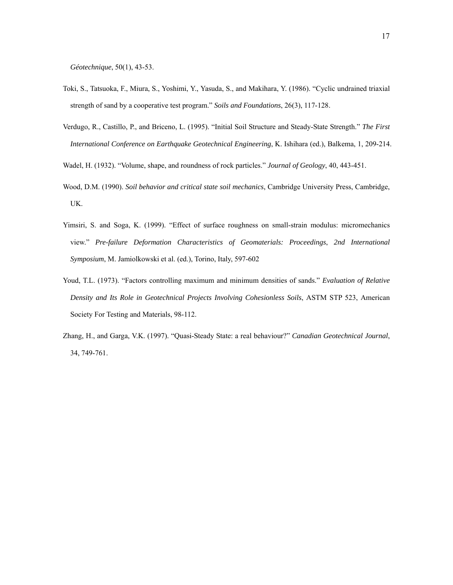*Géotechnique*, 50(1), 43-53.

- Toki, S., Tatsuoka, F., Miura, S., Yoshimi, Y., Yasuda, S., and Makihara, Y. (1986). "Cyclic undrained triaxial strength of sand by a cooperative test program." *Soils and Foundations*, 26(3), 117-128.
- Verdugo, R., Castillo, P., and Briceno, L. (1995). "Initial Soil Structure and Steady-State Strength." *The First International Conference on Earthquake Geotechnical Engineering*, K. Ishihara (ed.), Balkema, 1, 209-214.
- Wadel, H. (1932). "Volume, shape, and roundness of rock particles." *Journal of Geology*, 40, 443-451.
- Wood, D.M. (1990). *Soil behavior and critical state soil mechanics*, Cambridge University Press, Cambridge, UK.
- Yimsiri, S. and Soga, K. (1999). "Effect of surface roughness on small-strain modulus: micromechanics view." *Pre-failure Deformation Characteristics of Geomaterials: Proceedings*, *2nd International Symposium*, M. Jamiolkowski et al. (ed.), Torino, Italy, 597-602
- Youd, T.L. (1973). "Factors controlling maximum and minimum densities of sands." *Evaluation of Relative Density and Its Role in Geotechnical Projects Involving Cohesionless Soils*, ASTM STP 523, American Society For Testing and Materials, 98-112.
- Zhang, H., and Garga, V.K. (1997). "Quasi-Steady State: a real behaviour?" *Canadian Geotechnical Journal*, 34, 749-761.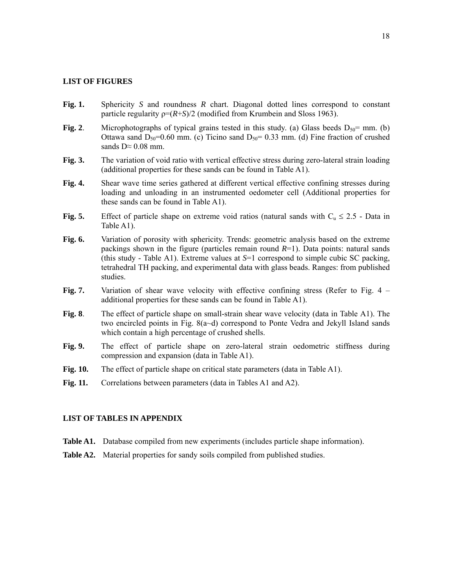#### **LIST OF FIGURES**

- **Fig. 1.** Sphericity *S* and roundness *R* chart. Diagonal dotted lines correspond to constant particle regularity  $p=(R+S)/2$  (modified from Krumbein and Sloss 1963).
- **Fig. 2**. Microphotographs of typical grains tested in this study. (a) Glass beeds  $D_{50}$ = mm. (b) Ottawa sand  $D_{50}$ =0.60 mm. (c) Ticino sand  $D_{50}$ = 0.33 mm. (d) Fine fraction of crushed sands  $D \approx 0.08$  mm.
- **Fig. 3.** The variation of void ratio with vertical effective stress during zero-lateral strain loading (additional properties for these sands can be found in Table A1).
- **Fig. 4.** Shear wave time series gathered at different vertical effective confining stresses during loading and unloading in an instrumented oedometer cell (Additional properties for these sands can be found in Table A1).
- **Fig. 5.** Effect of particle shape on extreme void ratios (natural sands with  $C_u \le 2.5$  Data in Table A1).
- Fig. 6. Variation of porosity with sphericity. Trends: geometric analysis based on the extreme packings shown in the figure (particles remain round  $R=1$ ). Data points: natural sands (this study - Table A1). Extreme values at *S*=1 correspond to simple cubic SC packing, tetrahedral TH packing, and experimental data with glass beads. Ranges: from published studies.
- **Fig. 7.** Variation of shear wave velocity with effective confining stress (Refer to Fig. 4 additional properties for these sands can be found in Table A1).
- **Fig. 8**. The effect of particle shape on small-strain shear wave velocity (data in Table A1). The two encircled points in Fig.  $8(a-d)$  correspond to Ponte Vedra and Jekyll Island sands which contain a high percentage of crushed shells.
- **Fig. 9.** The effect of particle shape on zero-lateral strain oedometric stiffness during compression and expansion (data in Table A1).
- **Fig. 10.** The effect of particle shape on critical state parameters (data in Table A1).
- Fig. 11. Correlations between parameters (data in Tables A1 and A2).

### **LIST OF TABLES IN APPENDIX**

- **Table A1.** Database compiled from new experiments (includes particle shape information).
- Table A2. Material properties for sandy soils compiled from published studies.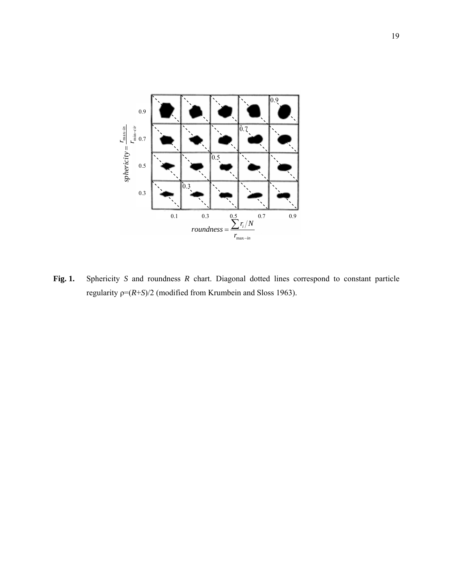

**Fig. 1.** Sphericity *S* and roundness *R* chart. Diagonal dotted lines correspond to constant particle regularity ρ=(*R*+*S*)/2 (modified from Krumbein and Sloss 1963).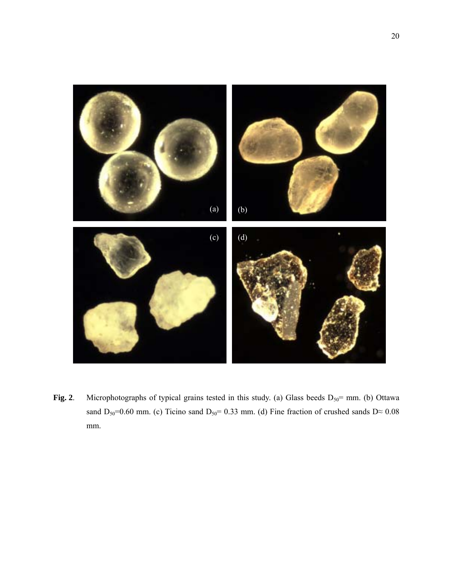

**Fig. 2**. Microphotographs of typical grains tested in this study. (a) Glass beeds  $D_{50}$ = mm. (b) Ottawa sand D<sub>50</sub>=0.60 mm. (c) Ticino sand D<sub>50</sub>= 0.33 mm. (d) Fine fraction of crushed sands D≈ 0.08 mm.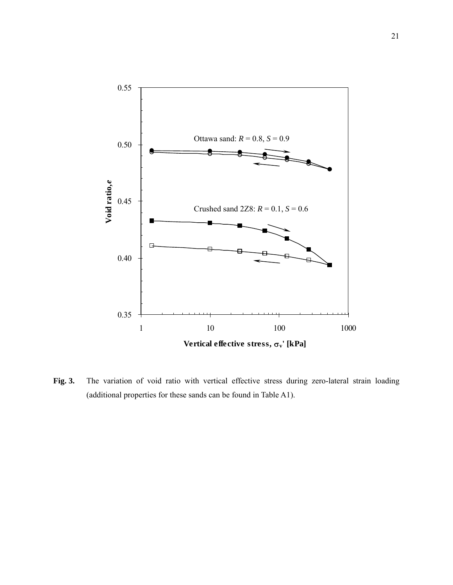

**Fig. 3.** The variation of void ratio with vertical effective stress during zero-lateral strain loading (additional properties for these sands can be found in Table A1).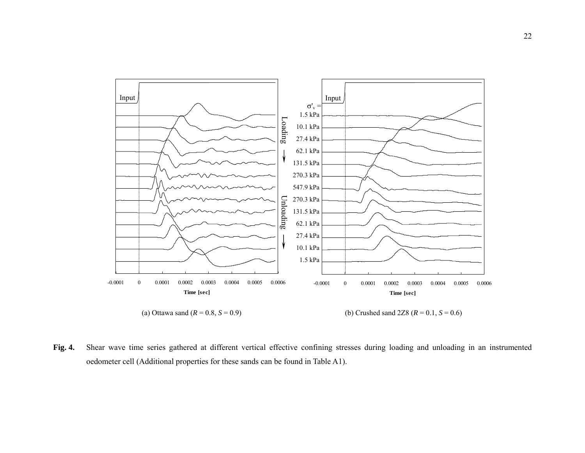

**Fig. 4.** Shear wave time series gathered at different vertical effective confining stresses during loading and unloading in an instrumented oedometer cell (Additional properties for these sands can be found in Table A1).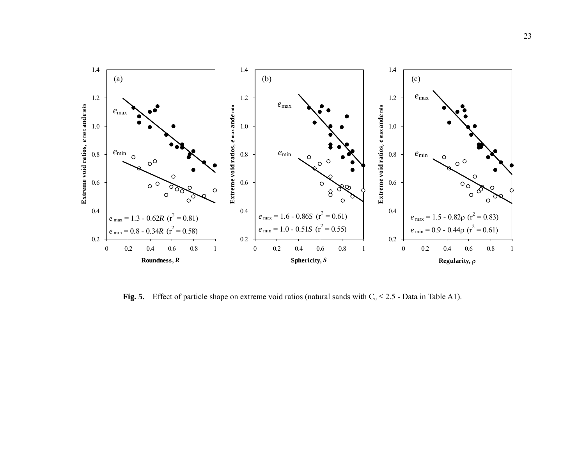

**Fig. 5.** Effect of particle shape on extreme void ratios (natural sands with  $C_u \le 2.5$  - Data in Table A1).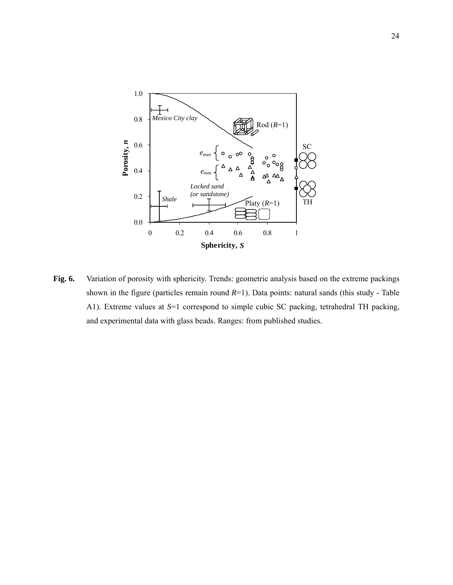

**Fig. 6.** Variation of porosity with sphericity. Trends: geometric analysis based on the extreme packings shown in the figure (particles remain round *R*=1). Data points: natural sands (this study - Table A1). Extreme values at *S*=1 correspond to simple cubic SC packing, tetrahedral TH packing, and experimental data with glass beads. Ranges: from published studies.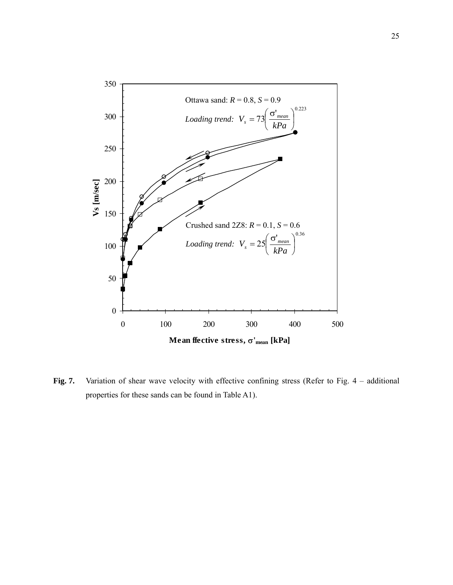

Fig. 7. Variation of shear wave velocity with effective confining stress (Refer to Fig. 4 – additional properties for these sands can be found in Table A1).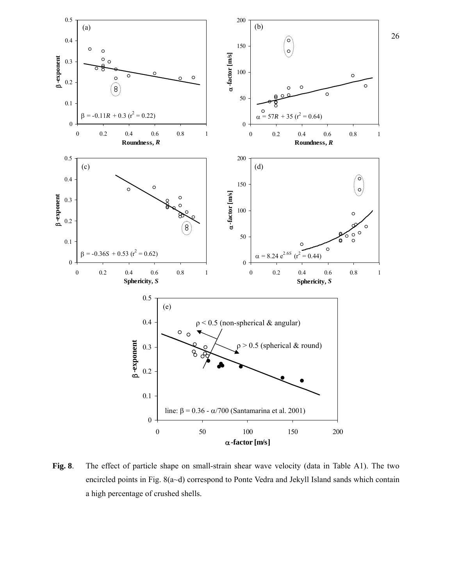

**Fig. 8**. The effect of particle shape on small-strain shear wave velocity (data in Table A1). The two encircled points in Fig. 8(a~d) correspond to Ponte Vedra and Jekyll Island sands which contain a high percentage of crushed shells.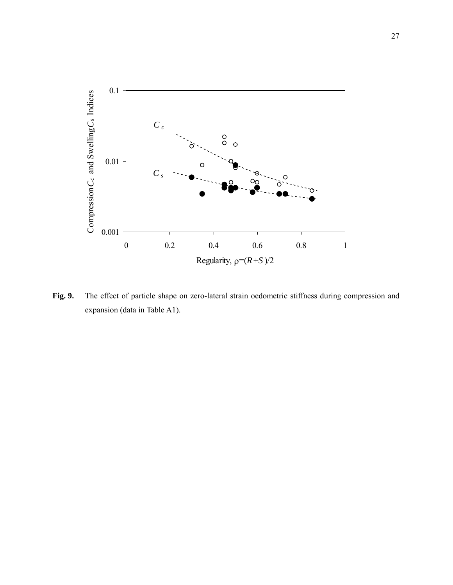

Fig. 9. The effect of particle shape on zero-lateral strain oedometric stiffness during compression and expansion (data in Table A1).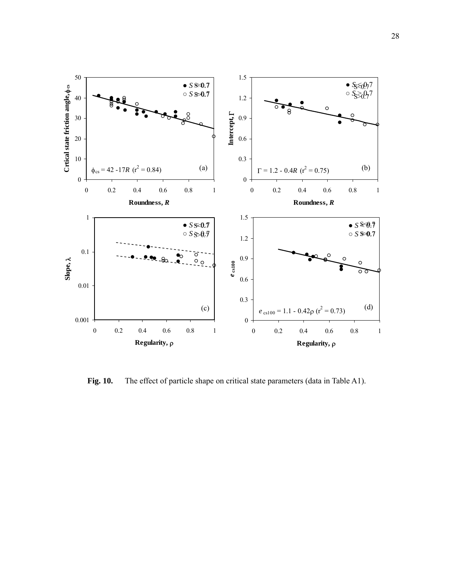

Fig. 10. The effect of particle shape on critical state parameters (data in Table A1).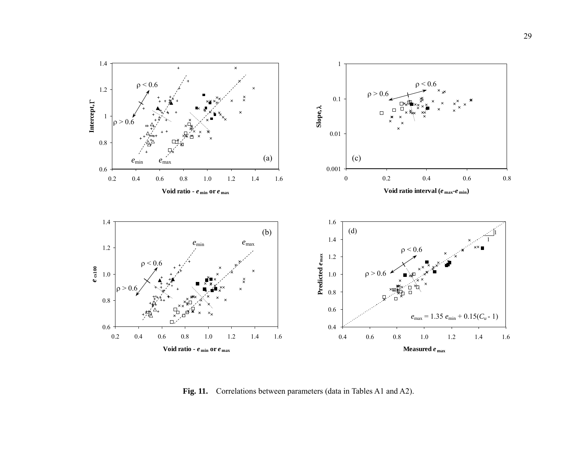

**Fig. 11.** Correlations between parameters (data in Tables A1 and A2).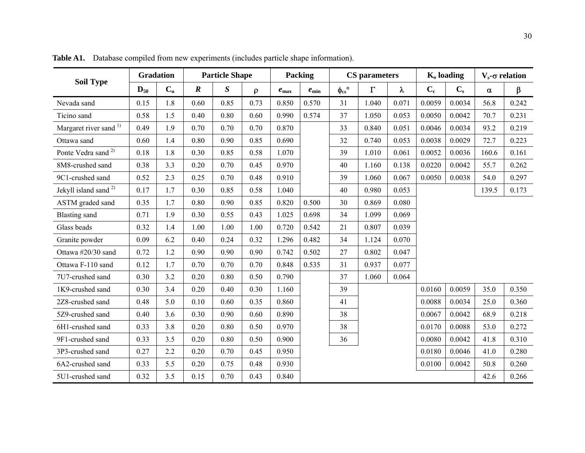| neters | $K_0$ loading | $V_s$ -σ r       |      |  |
|--------|---------------|------------------|------|--|
| λ      | $C_{c}$       | $\mathbf{C_{s}}$ | α    |  |
| 0.071  | 0.0059        | 0.0034           | 56.8 |  |

**Gradation Particle Shape Packing CS parameters K<sub>o</sub> loading V<sub>s</sub>-σ relation Soil Type <del>Sandation</del> Soil Type**  $D_{50}$  $C<sub>u</sub>$  *R S* ρ *<sup>e</sup>***max** *<sup>e</sup>***min** φ**cs**° Γ λ **Cc Cs** α β Nevada sandd | 0.15 | 1.8 | 0.60 | 0.85 | 0.73 | 0.850 | 0.570 | 31 | 1.040 | 0.071 | 0.0059 | 0.0034 | 56.8 | 0.242 Ticino sandd | 0.58 | 1.5 | 0.40 | 0.80 | 0.60 | 0.990 | 0.574 | 37 | 1.050 | 0.053 | 0.0050 | 0.0042 | 70.7 | 0.231 Margaret river sand <sup>1)</sup> | 0.49 | 1.9 | 0.70 | 0.70 | 0.70 | 0.870 | | 33 | 0.840 | 0.051 | 0.0046 | 0.0034 | 93.2 | 0.219 Ottawa sandd 1 0.60 1.4 0.80 0.90 0.85 0.690 1 32 0.740 0.053 0.0038 0.0029 1 72.7 0.223 Ponte Vedra sand  $^{2}$  | 0.18 8 | 1.8 | 0.30 | 0.85 | 0.58 | 1.070 | | | | | 39 | 1.010 | 0.061 | 0.0052 | 0.0036 | 160.6 | 0.161 8M8-crushed sand 0.38 3.3 0.20 0.70 0.45 0.970 40 1.160 0.138 0.0220 0.0042 55.7 0.262 9C1-crushed sand 0.52 2.3 0.25 0.70 0.48 0.910 39 1.060 0.067 0.0050 0.0038 54.0 0.297 Jekyll island sand 2) 0.17 1.7 0.30 0.85 0.58 1.040 <sup>40</sup> 0.980 0.053 139.5 0.173 ASTM graded sand 0.35 1.7 0.80 0.90 0.85 0.820 0.500 30 0.869 0.080 Blasting sand 0.71 1.9 0.30 0.55 0.43 1.025 0.698 34 1.099 0.069 Glass beads 0.32 1.4 1.00 1.00 1.00 0.7200.542 21 0.807 0.039 Granite powder 0.09 6.2 0.40 0.24 0.32 1.296 0.482 34 1.124 0.070 Ottawa #20/300 sand 1 0.72 1 1.2 1 0.90 1 0.90 1 0.90 1 0.742 1 0.502 1 27 1 0.802 1 0.047 Ottawa F-110 sandd  $0.12$  1.7 0.70 0.70 0.70 0.848 0.535 31 0.937 0.077 7U7-crushed sand 0.30 3.2 0.20 0.80 0.50 0.790 37 1.060 0.064 1K9-crushed sand 0.30 3.4 0.20 0.40 0.30 1.160 39 0.0160 0.0059 35.0 0.350 2Z8-crushed sand  $\begin{array}{|c|c|c|c|c|c|c|c|c|} \hline 0.48 & 5.0 & 0.10 & 0.60 & 0.35 & 0.860 \hline \end{array}$  41 0.0088 0.0034 25.0 0.360 5Z9-crushed sand  $\begin{array}{|c|c|c|c|c|c|c|c|c|} \hline 0.40 & 3.6 & 0.30 & 0.90 & 0.60 & 0.890 \hline \end{array}$  38 0.0067 0.0042 68.9 0.218 6H1-crushed sand 0.33 3.8 0.20 0.80 0.50 0.970 38 0.0170 0.0088 53.0 0.272 9F1-crushed sand 0.33 3.5 0.20 0.80 0.50 0.900 36 0.0080 0.0042 41.8 0.310 3P3-crushedd sand | 0.27 | 2.2 | 0.20 | 0.70 | 0.45 | 0.950 | | 0.0180 | 0.0046 | 41.0 | 0.280 6A2-crushedd sand | 0.33 | 5.5 | 0.20 | 0.75 | 0.48 | 0.930 | | 0.0100 | 0.0042 | 50.8 | 0.260 5U1-crushedd sand  $\begin{array}{|c|c|c|c|c|c|c|c|c|} \hline 0.32 & 3.5 & 0.15 & 0.70 & 0.43 & 0.840 & \hline \end{array}$ 

**Table A1.** Database compiled from new experiments (includes particle shape information).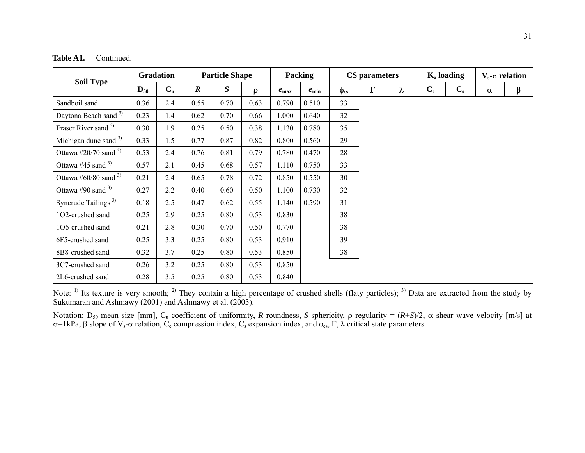| Table A1. | Continued. |
|-----------|------------|
|-----------|------------|

| <b>Soil Type</b>                 | <b>Gradation</b>  |                  | <b>Particle Shape</b> |      |        | Packing          |            | <b>CS</b> parameters |          |           | $K_0$ loading |         | $V_s$ - $\sigma$ relation |                      |
|----------------------------------|-------------------|------------------|-----------------------|------|--------|------------------|------------|----------------------|----------|-----------|---------------|---------|---------------------------|----------------------|
|                                  | $\mathbf{D}_{50}$ | $C_{\mathrm{u}}$ | $\boldsymbol{R}$      | S    | $\rho$ | $e_{\text{max}}$ | $e_{\min}$ | $\phi_{\rm cs}$      | $\Gamma$ | $\lambda$ | $C_{c}$       | $C_{s}$ | $\pmb{\alpha}$            | $\boldsymbol{\beta}$ |
| Sandboil sand                    | 0.36              | 2.4              | 0.55                  | 0.70 | 0.63   | 0.790            | 0.510      | 33                   |          |           |               |         |                           |                      |
| Daytona Beach sand <sup>3)</sup> | 0.23              | 1.4              | 0.62                  | 0.70 | 0.66   | 000.1            | 0.640      | 32                   |          |           |               |         |                           |                      |
| Fraser River sand 3)             | 0.30              | 1.9              | 0.25                  | 0.50 | 0.38   | 1.130            | 0.780      | 35                   |          |           |               |         |                           |                      |
| Michigan dune sand $3$           | 0.33              | 1.5              | 0.77                  | 0.87 | 0.82   | 0.800            | 0.560      | 29                   |          |           |               |         |                           |                      |
| Ottawa #20/70 sand $3$           | 0.53              | 2.4              | 0.76                  | 0.81 | 0.79   | 0.780            | 0.470      | 28                   |          |           |               |         |                           |                      |
| Ottawa #45 sand $3$              | 0.57              | 2.1              | 0.45                  | 0.68 | 0.57   | 1.110            | 0.750      | 33                   |          |           |               |         |                           |                      |
| Ottawa #60/80 sand $3$           | 0.21              | 2.4              | 0.65                  | 0.78 | 0.72   | 0.850            | 0.550      | 30                   |          |           |               |         |                           |                      |
| Ottawa #90 sand $3$              | 0.27              | 2.2              | 0.40                  | 0.60 | 0.50   | 1.100            | 0.730      | 32                   |          |           |               |         |                           |                      |
| Syncrude Tailings <sup>3)</sup>  | 0.18              | 2.5              | 0.47                  | 0.62 | 0.55   | 1.140            | 0.590      | 31                   |          |           |               |         |                           |                      |
| 1O2-crushed sand                 | 0.25              | 2.9              | 0.25                  | 0.80 | 0.53   | 0.830            |            | 38                   |          |           |               |         |                           |                      |
| 1O6-crushed sand                 | 0.21              | 2.8              | 0.30                  | 0.70 | 0.50   | 0.770            |            | 38                   |          |           |               |         |                           |                      |
| 6F5-crushed sand                 | 0.25              | 3.3              | 0.25                  | 0.80 | 0.53   | 0.910            |            | 39                   |          |           |               |         |                           |                      |
| 8B8-crushed sand                 | 0.32              | 3.7              | 0.25                  | 0.80 | 0.53   | 0.850            |            | 38                   |          |           |               |         |                           |                      |
| 3C7-crushed sand                 | 0.26              | 3.2              | 0.25                  | 0.80 | 0.53   | 0.850            |            |                      |          |           |               |         |                           |                      |
| 2L6-crushed sand                 | 0.28              | 3.5              | 0.25                  | 0.80 | 0.53   | 0.840            |            |                      |          |           |               |         |                           |                      |

Note:  $\frac{1}{1}$  Its texture is very smooth;  $\frac{2}{1}$  They contain a high percentage of crushed shells (flaty particles);  $\frac{3}{1}$  Data are extracted from the study by Sukumaran and Ashmawy (2001) and Ashmawy et al. (2003).

Notation: D50 mean size [mm], Cu coefficient of uniformity, *R* roundness, *S* sphericity, ρ regularity = (*R*+*S*)/2, α shear wave velocity [m/s] at σ=1kPa, β slope of V<sub>s</sub>-σ relation, C<sub>c</sub> compression index, C<sub>s</sub> expansion index, and  $\phi_{\text{cs}}$ , Γ, λ critical state parameters.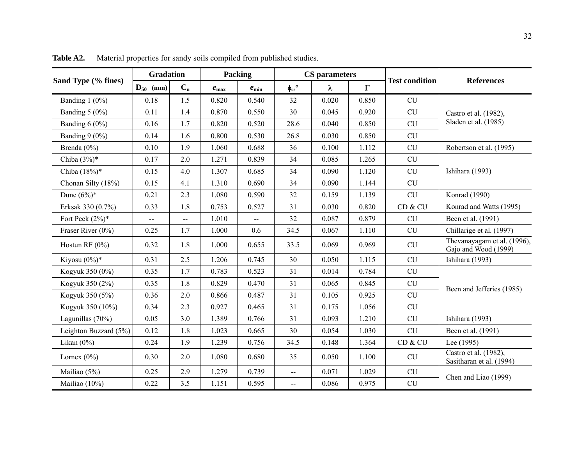|                       | <b>Gradation</b>       |                  | Packing       |                |                                               | <b>CS</b> parameters |                       | <b>Test condition</b> | <b>References</b>                                   |  |
|-----------------------|------------------------|------------------|---------------|----------------|-----------------------------------------------|----------------------|-----------------------|-----------------------|-----------------------------------------------------|--|
| Sand Type (% fines)   | $\mathbf{D}_{50}$ (mm) | $C_{\mathrm{u}}$ | $e_{\rm max}$ | $e_{\rm min}$  | $\phi_{\rm cs}$ °                             | λ                    | $\boldsymbol{\Gamma}$ |                       |                                                     |  |
| Banding $1(0\%)$      | 0.18                   | 1.5              | 0.820         | 0.540          | 32                                            | 0.020                | 0.850                 | <b>CU</b>             |                                                     |  |
| Banding 5 (0%)        | 0.11                   | 1.4              | 0.870         | 0.550          | 30                                            | 0.045                | 0.920                 | <b>CU</b>             | Castro et al. (1982),                               |  |
| Banding $6(0\%)$      | 0.16                   | 1.7              | 0.820         | 0.520          | 28.6                                          | 0.040                | 0.850                 | CU                    | Sladen et al. (1985)                                |  |
| Banding $9(0\%)$      | 0.14                   | 1.6              | 0.800         | 0.530          | 26.8                                          | 0.030                | 0.850                 | CU                    |                                                     |  |
| Brenda $(0\%)$        | 0.10                   | 1.9              | 1.060         | 0.688          | 36                                            | 0.100                | 1.112                 | CU                    | Robertson et al. (1995)                             |  |
| Chiba $(3%)^*$        | 0.17                   | 2.0              | 1.271         | 0.839          | 34                                            | 0.085                | 1.265                 | CU                    |                                                     |  |
| Chiba (18%)*          | 0.15                   | 4.0              | 1.307         | 0.685          | 34                                            | 0.090                | 1.120                 | CU                    | Ishihara (1993)                                     |  |
| Chonan Silty (18%)    | 0.15                   | 4.1              | 1.310         | 0.690          | 34                                            | 0.090                | 1.144                 | CU                    |                                                     |  |
| Dune $(6%)^*$         | 0.21                   | 2.3              | 1.080         | 0.590          | 32                                            | 0.159                | 1.139                 | CU                    | Konrad (1990)                                       |  |
| Erksak 330 (0.7%)     | 0.33                   | 1.8              | 0.753         | 0.527          | 31                                            | 0.030                | 0.820                 | CD & CU               | Konrad and Watts (1995)                             |  |
| Fort Peck $(2%)^*$    | $\overline{a}$         | $\overline{a}$   | 1.010         | $\overline{a}$ | 32                                            | 0.087                | 0.879                 | CU                    | Been et al. (1991)                                  |  |
| Fraser River (0%)     | 0.25                   | 1.7              | 1.000         | 0.6            | 34.5                                          | 0.067                | 1.110                 | CU                    | Chillarige et al. (1997)                            |  |
| Hostun RF $(0\%)$     | 0.32                   | 1.8              | 1.000         | 0.655          | 33.5                                          | 0.069                | 0.969                 | <b>CU</b>             | Thevanayagam et al. (1996),<br>Gajo and Wood (1999) |  |
| Kiyosu $(0\%)^*$      | 0.31                   | 2.5              | 1.206         | 0.745          | 30                                            | 0.050                | 1.115                 | CU                    | Ishihara (1993)                                     |  |
| Kogyuk 350 (0%)       | 0.35                   | 1.7              | 0.783         | 0.523          | 31                                            | 0.014                | 0.784                 | CU                    |                                                     |  |
| Kogyuk 350 (2%)       | 0.35                   | 1.8              | 0.829         | 0.470          | 31                                            | 0.065                | 0.845                 | CU                    | Been and Jefferies (1985)                           |  |
| Kogyuk 350 (5%)       | 0.36                   | $2.0$            | 0.866         | 0.487          | 31                                            | 0.105                | 0.925                 | CU                    |                                                     |  |
| Kogyuk 350 (10%)      | 0.34                   | 2.3              | 0.927         | 0.465          | 31                                            | 0.175                | 1.056                 | CU                    |                                                     |  |
| Lagunillas (70%)      | 0.05                   | 3.0              | 1.389         | 0.766          | 31                                            | 0.093                | 1.210                 | <b>CU</b>             | Ishihara (1993)                                     |  |
| Leighton Buzzard (5%) | 0.12                   | 1.8              | 1.023         | 0.665          | 30                                            | 0.054                | 1.030                 | <b>CU</b>             | Been et al. (1991)                                  |  |
| Likan $(0\%)$         | 0.24                   | 1.9              | 1.239         | 0.756          | 34.5                                          | 0.148                | 1.364                 | CD & CU               | Lee (1995)                                          |  |
| Lornex $(0\%)$        | 0.30                   | 2.0              | 1.080         | 0.680          | 35                                            | 0.050                | 1.100                 | CU                    | Castro et al. (1982),<br>Sasitharan et al. (1994)   |  |
| Mailiao (5%)          | 0.25                   | 2.9              | 1.279         | 0.739          | $\mathord{\hspace{1pt}\text{--}\hspace{1pt}}$ | 0.071                | 1.029                 | CU                    | Chen and Liao (1999)                                |  |
| Mailiao (10%)         | 0.22                   | 3.5              | 1.151         | 0.595          | $\overline{a}$                                | 0.086                | 0.975                 | CU                    |                                                     |  |

**Table A2.**Material properties for sandy soils compiled from published studies.